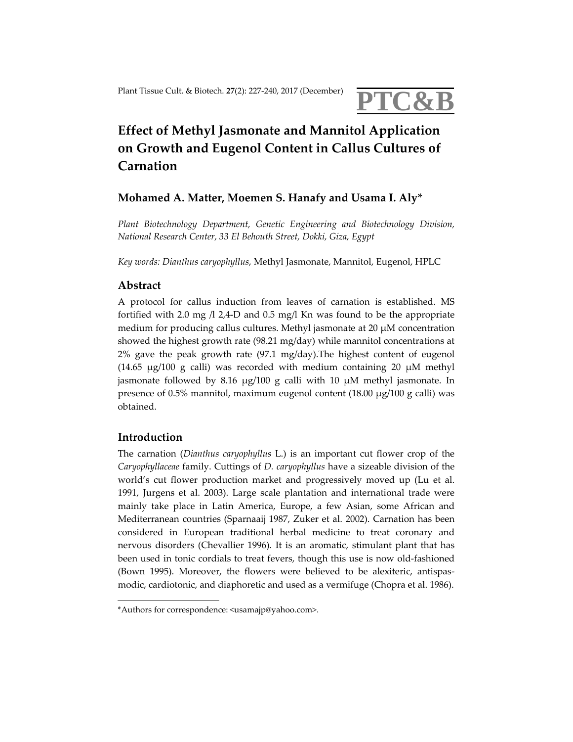

# **Effect of Methyl Jasmonate and Mannitol Application on Growth and Eugenol Content in Callus Cultures of Carnation**

# **Mohamed A. Matter, Moemen S. Hanafy and Usama I. Aly\***

*Plant Biotechnology Department, Genetic Engineering and Biotechnology Division, National Research Center, 33 El Behouth Street, Dokki, Giza, Egypt*

*Key words: Dianthus caryophyllus*, Methyl Jasmonate, Mannitol, Eugenol, HPLC

## **Abstract**

A protocol for callus induction from leaves of carnation is established. MS fortified with 2.0 mg  $/1$  2,4-D and 0.5 mg/l Kn was found to be the appropriate medium for producing callus cultures. Methyl jasmonate at 20 μM concentration showed the highest growth rate (98.21 mg/day) while mannitol concentrations at 2% gave the peak growth rate (97.1 mg/day).The highest content of eugenol (14.65  $\mu$ g/100 g calli) was recorded with medium containing 20  $\mu$ M methyl jasmonate followed by 8.16 μg/100 g calli with 10 μM methyl jasmonate. In presence of 0.5% mannitol, maximum eugenol content (18.00 μg/100 g calli) was obtained.

### **Introduction**

The carnation (*Dianthus caryophyllus* L.) is an important cut flower crop of the *Caryophyllaceae* family. Cuttings of *D. caryophyllus* have a sizeable division of the world's cut flower production market and progressively moved up (Lu et al. 1991, Jurgens et al. 2003). Large scale plantation and international trade were mainly take place in Latin America, Europe, a few Asian, some African and Mediterranean countries (Sparnaaij 1987, Zuker et al. 2002). Carnation has been considered in European traditional herbal medicine to treat coronary and nervous disorders (Chevallier 1996). It is an aromatic, stimulant plant that has been used in tonic cordials to treat fevers, though this use is now old‐fashioned (Bown 1995). Moreover, the flowers were believed to be alexiteric, antispas‐ modic, cardiotonic, and diaphoretic and used as a vermifuge (Chopra et al. 1986).

<sup>\*</sup>Authors for correspondence: <usamajp@yahoo.com>.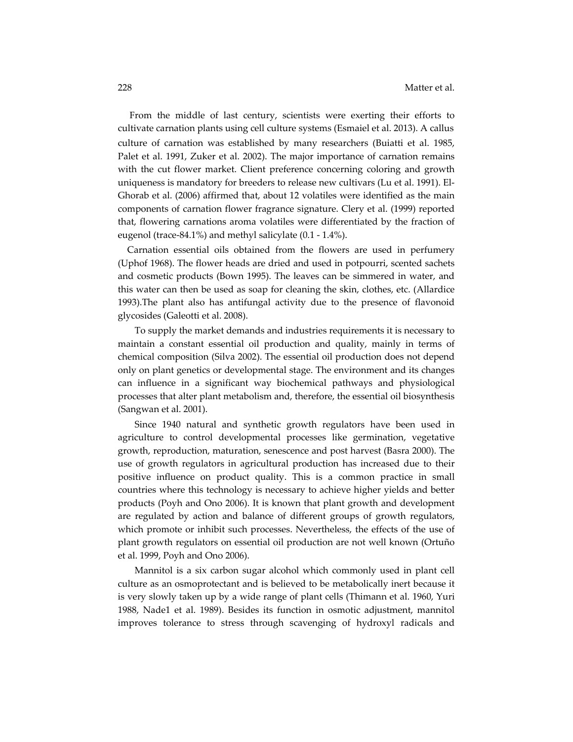From the middle of last century, scientists were exerting their efforts to cultivate carnation plants using cell culture systems (Esmaiel et al. 2013). A callus culture of carnation was established by many researchers (Buiatti et al. 1985, Palet et al. 1991, Zuker et al. 2002). The major importance of carnation remains with the cut flower market. Client preference concerning coloring and growth uniqueness is mandatory for breeders to release new cultivars (Lu et al. 1991). El‐ Ghorab et al. (2006) affirmed that, about 12 volatiles were identified as the main components of carnation flower fragrance signature. Clery et al. (1999) reported that, flowering carnations aroma volatiles were differentiated by the fraction of eugenol (trace‐84.1%) and methyl salicylate (0.1 ‐ 1.4%).

 Carnation essential oils obtained from the flowers are used in perfumery (Uphof 1968). The flower heads are dried and used in potpourri, scented sachets and cosmetic products (Bown 1995). The leaves can be simmered in water, and this water can then be used as soap for cleaning the skin, clothes, etc. (Allardice 1993).The plant also has antifungal activity due to the presence of flavonoid glycosides (Galeotti et al. 2008).

To supply the market demands and industries requirements it is necessary to maintain a constant essential oil production and quality, mainly in terms of chemical composition (Silva 2002). The essential oil production does not depend only on plant genetics or developmental stage. The environment and its changes can influence in a significant way biochemical pathways and physiological processes that alter plant metabolism and, therefore, the essential oil biosynthesis (Sangwan et al. 2001).

Since 1940 natural and synthetic growth regulators have been used in agriculture to control developmental processes like germination, vegetative growth, reproduction, maturation, senescence and post harvest (Basra 2000). The use of growth regulators in agricultural production has increased due to their positive influence on product quality. This is a common practice in small countries where this technology is necessary to achieve higher yields and better products (Poyh and Ono 2006). It is known that plant growth and development are regulated by action and balance of different groups of growth regulators, which promote or inhibit such processes. Nevertheless, the effects of the use of plant growth regulators on essential oil production are not well known (Ortuño et al. 1999, Poyh and Ono 2006).

Mannitol is a six carbon sugar alcohol which commonly used in plant cell culture as an osmoprotectant and is believed to be metabolically inert because it is very slowly taken up by a wide range of plant cells (Thimann et al. 1960, Yuri 1988, Nade1 et al. 1989). Besides its function in osmotic adjustment, mannitol improves tolerance to stress through scavenging of hydroxyl radicals and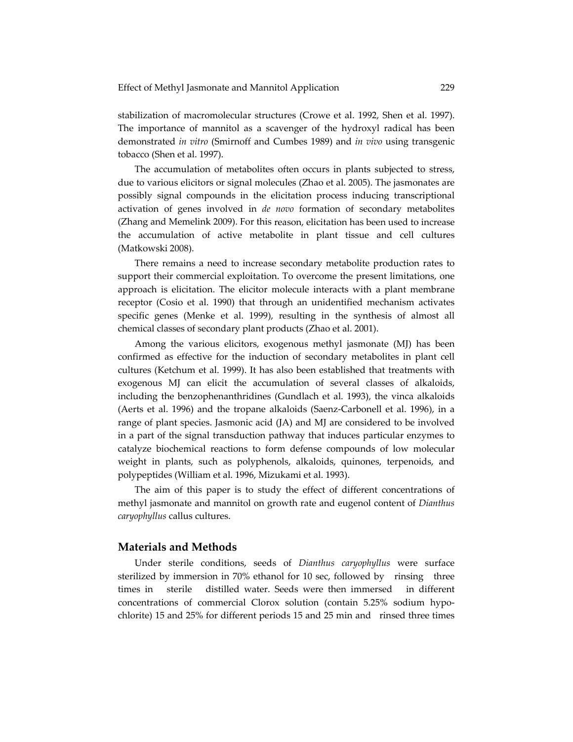stabilization of macromolecular structures (Crowe et al. 1992, Shen et al. 1997). The importance of mannitol as a scavenger of the hydroxyl radical has been demonstrated *in vitro* (Smirnoff and Cumbes 1989) and *in vivo* using transgenic tobacco (Shen et al. 1997).

The accumulation of metabolites often occurs in plants subjected to stress, due to various elicitors or signal molecules (Zhao et al. 2005). The jasmonates are possibly signal compounds in the elicitation process inducing transcriptional activation of genes involved in *de novo* formation of secondary metabolites (Zhang and Memelink 2009). For this reason, elicitation has been used to increase the accumulation of active metabolite in plant tissue and cell cultures (Matkowski 2008).

There remains a need to increase secondary metabolite production rates to support their commercial exploitation. To overcome the present limitations, one approach is elicitation. The elicitor molecule interacts with a plant membrane receptor (Cosio et al. 1990) that through an unidentified mechanism activates specific genes (Menke et al. 1999), resulting in the synthesis of almost all chemical classes of secondary plant products (Zhao et al. 2001).

Among the various elicitors, exogenous methyl jasmonate (MJ) has been confirmed as effective for the induction of secondary metabolites in plant cell cultures (Ketchum et al. 1999). It has also been established that treatments with exogenous MJ can elicit the accumulation of several classes of alkaloids, including the benzophenanthridines (Gundlach et al. 1993), the vinca alkaloids (Aerts et al. 1996) and the tropane alkaloids (Saenz‐Carbonell et al. 1996), in a range of plant species. Jasmonic acid (JA) and MJ are considered to be involved in a part of the signal transduction pathway that induces particular enzymes to catalyze biochemical reactions to form defense compounds of low molecular weight in plants, such as polyphenols, alkaloids, quinones, terpenoids, and polypeptides (William et al. 1996, Mizukami et al. 1993).

The aim of this paper is to study the effect of different concentrations of methyl jasmonate and mannitol on growth rate and eugenol content of *Dianthus caryophyllus* callus cultures.

## **Materials and Methods**

Under sterile conditions, seeds of *Dianthus caryophyllus* were surface sterilized by immersion in 70% ethanol for 10 sec, followed by rinsing three times in sterile distilled water. Seeds were then immersed in different concentrations of commercial Clorox solution (contain 5.25% sodium hypochlorite) 15 and 25% for different periods 15 and 25 min and rinsed three times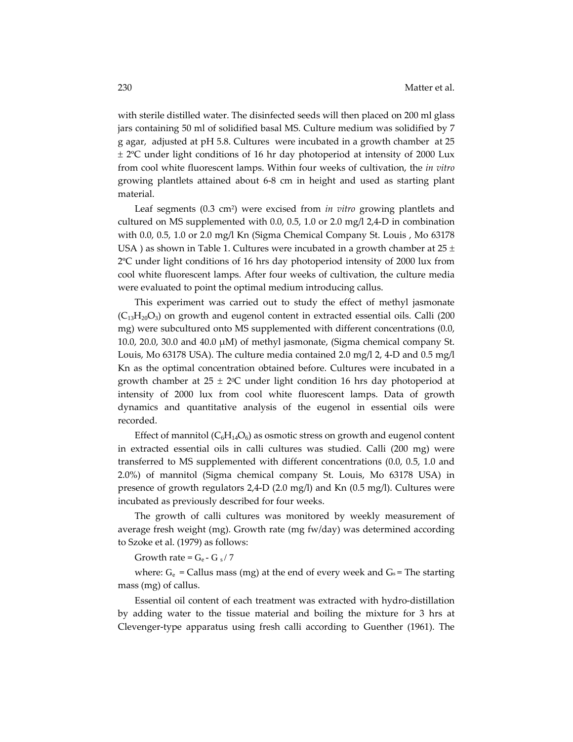with sterile distilled water. The disinfected seeds will then placed on 200 ml glass jars containing 50 ml of solidified basal MS. Culture medium was solidified by 7 g agar, adjusted at pH 5.8. Cultures were incubated in a growth chamber at 25 ± 2ºC under light conditions of 16 hr day photoperiod at intensity of 2000 Lux from cool white fluorescent lamps. Within four weeks of cultivation, the *in vitro* growing plantlets attained about 6‐8 cm in height and used as starting plant material.

Leaf segments (0.3 cm2) were excised from *in vitro* growing plantlets and cultured on MS supplemented with 0.0, 0.5, 1.0 or 2.0 mg/l 2,4‐D in combination with 0.0, 0.5, 1.0 or 2.0 mg/l Kn (Sigma Chemical Company St. Louis , Mo 63178 USA) as shown in Table 1. Cultures were incubated in a growth chamber at  $25 \pm$ 2ºC under light conditions of 16 hrs day photoperiod intensity of 2000 lux from cool white fluorescent lamps. After four weeks of cultivation, the culture media were evaluated to point the optimal medium introducing callus.

This experiment was carried out to study the effect of methyl jasmonate  $(C_{13}H_{20}O_3)$  on growth and eugenol content in extracted essential oils. Calli (200) mg) were subcultured onto MS supplemented with different concentrations (0.0, 10.0, 20.0, 30.0 and 40.0 μM) of methyl jasmonate, (Sigma chemical company St. Louis, Mo 63178 USA). The culture media contained 2.0 mg/l 2, 4‐D and 0.5 mg/l Kn as the optimal concentration obtained before. Cultures were incubated in a growth chamber at  $25 \pm 2^{\circ}$ C under light condition 16 hrs day photoperiod at intensity of 2000 lux from cool white fluorescent lamps. Data of growth dynamics and quantitative analysis of the eugenol in essential oils were recorded.

Effect of mannitol  $(C_6H_{14}O_6)$  as osmotic stress on growth and eugenol content in extracted essential oils in calli cultures was studied. Calli (200 mg) were transferred to MS supplemented with different concentrations (0.0, 0.5, 1.0 and 2.0%) of mannitol (Sigma chemical company St. Louis, Mo 63178 USA) in presence of growth regulators 2,4‐D (2.0 mg/l) and Kn (0.5 mg/l). Cultures were incubated as previously described for four weeks.

The growth of calli cultures was monitored by weekly measurement of average fresh weight (mg). Growth rate (mg fw/day) was determined according to Szoke et al. (1979) as follows:

Growth rate =  $G_e$  - G  $_s$  / 7

where:  $G_e$  = Callus mass (mg) at the end of every week and  $G_s$  = The starting mass (mg) of callus.

Essential oil content of each treatment was extracted with hydro‐distillation by adding water to the tissue material and boiling the mixture for 3 hrs at Clevenger‐type apparatus using fresh calli according to Guenther (1961). The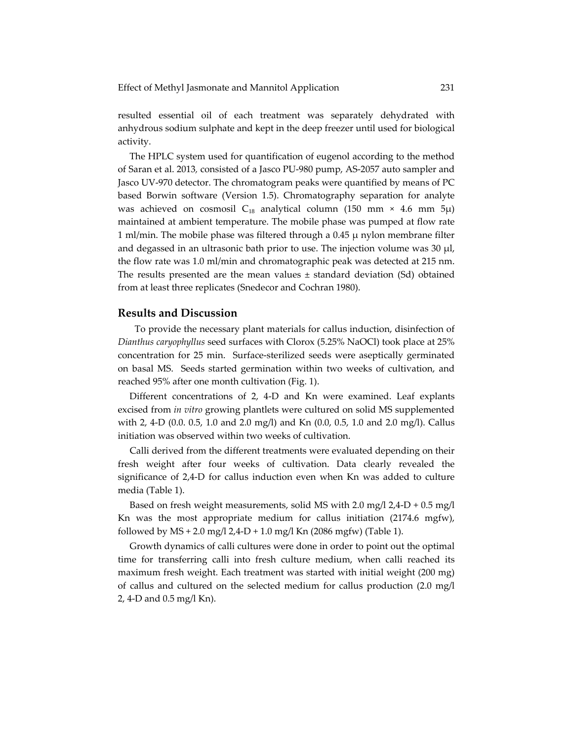resulted essential oil of each treatment was separately dehydrated with anhydrous sodium sulphate and kept in the deep freezer until used for biological activity.

 The HPLC system used for quantification of eugenol according to the method of Saran et al. 2013*,* consisted of a Jasco PU‐980 pump, AS‐2057 auto sampler and Jasco UV‐970 detector. The chromatogram peaks were quantified by means of PC based Borwin software (Version 1.5). Chromatography separation for analyte was achieved on cosmosil C<sub>18</sub> analytical column (150 mm  $\times$  4.6 mm 5 $\mu$ ) maintained at ambient temperature. The mobile phase was pumped at flow rate 1 ml/min. The mobile phase was filtered through a 0.45 μ nylon membrane filter and degassed in an ultrasonic bath prior to use. The injection volume was 30 μl, the flow rate was 1.0 ml/min and chromatographic peak was detected at 215 nm. The results presented are the mean values  $\pm$  standard deviation (Sd) obtained from at least three replicates (Snedecor and Cochran 1980).

#### **Results and Discussion**

To provide the necessary plant materials for callus induction, disinfection of *Dianthus caryophyllus* seed surfaces with Clorox (5.25% NaOCl) took place at 25% concentration for 25 min. Surface-sterilized seeds were aseptically germinated on basal MS. Seeds started germination within two weeks of cultivation, and reached 95% after one month cultivation (Fig. 1).

 Different concentrations of 2, 4‐D and Kn were examined. Leaf explants excised from *in vitro* growing plantlets were cultured on solid MS supplemented with 2, 4‐D (0.0. 0.5, 1.0 and 2.0 mg/l) and Kn (0.0, 0.5, 1.0 and 2.0 mg/l). Callus initiation was observed within two weeks of cultivation.

 Calli derived from the different treatments were evaluated depending on their fresh weight after four weeks of cultivation. Data clearly revealed the significance of 2,4‐D for callus induction even when Kn was added to culture media (Table 1).

 Based on fresh weight measurements, solid MS with 2.0 mg/l 2,4‐D + 0.5 mg/l Kn was the most appropriate medium for callus initiation (2174.6 mgfw), followed by  $MS + 2.0$  mg/l  $2.4-D + 1.0$  mg/l Kn (2086 mgfw) (Table 1).

 Growth dynamics of calli cultures were done in order to point out the optimal time for transferring calli into fresh culture medium, when calli reached its maximum fresh weight. Each treatment was started with initial weight (200 mg) of callus and cultured on the selected medium for callus production (2.0 mg/l 2, 4‐D and 0.5 mg/l Kn).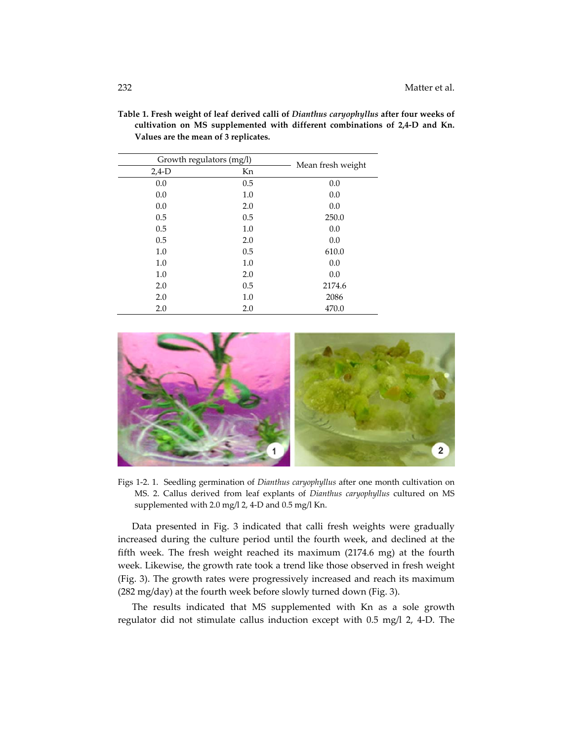| Growth regulators (mg/l) |     | Mean fresh weight |
|--------------------------|-----|-------------------|
| $2,4-D$                  | Kn  |                   |
| 0.0                      | 0.5 | 0.0               |
| 0.0                      | 1.0 | 0.0               |
| 0.0                      | 2.0 | 0.0               |
| 0.5                      | 0.5 | 250.0             |
| 0.5                      | 1.0 | 0.0               |
| 0.5                      | 2.0 | 0.0               |
| 1.0                      | 0.5 | 610.0             |
| 1.0                      | 1.0 | 0.0               |
| 1.0                      | 2.0 | 0.0               |
| 2.0                      | 0.5 | 2174.6            |
| 2.0                      | 1.0 | 2086              |
| 2.0                      | 2.0 | 470.0             |

**Table 1. Fresh weight of leaf derived calli of** *Dianthus caryophyllus* **after four weeks of cultivation on MS supplemented with different combinations of 2,4‐D and Kn. Values are the mean of 3 replicates.**



Figs 1‐2. 1. Seedling germination of *Dianthus caryophyllus* after one month cultivation on MS. 2. Callus derived from leaf explants of *Dianthus caryophyllus* cultured on MS supplemented with 2.0 mg/l 2, 4‐D and 0.5 mg/l Kn.

 Data presented in Fig. 3 indicated that calli fresh weights were gradually increased during the culture period until the fourth week, and declined at the fifth week. The fresh weight reached its maximum (2174.6 mg) at the fourth week. Likewise, the growth rate took a trend like those observed in fresh weight (Fig. 3). The growth rates were progressively increased and reach its maximum (282 mg/day) at the fourth week before slowly turned down (Fig. 3).

 The results indicated that MS supplemented with Kn as a sole growth regulator did not stimulate callus induction except with 0.5 mg/l 2, 4‐D. The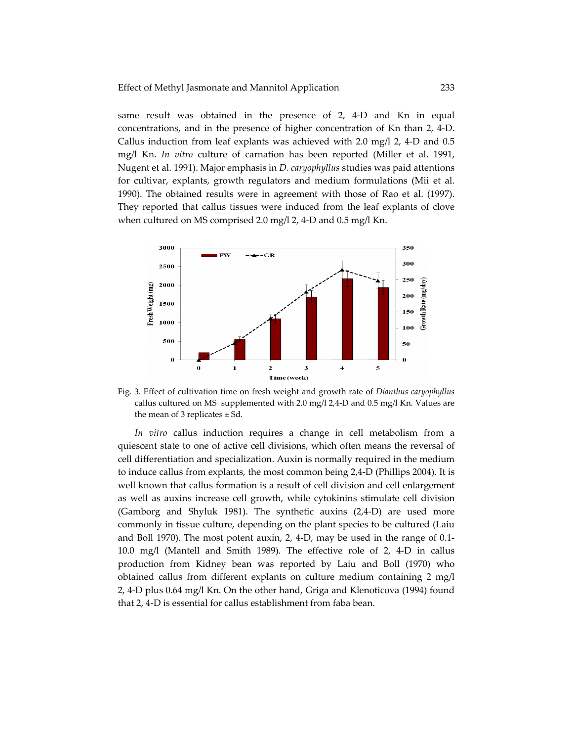same result was obtained in the presence of 2, 4‐D and Kn in equal concentrations, and in the presence of higher concentration of Kn than 2, 4‐D. Callus induction from leaf explants was achieved with 2.0 mg/l 2, 4‐D and 0.5 mg/l Kn. *In vitro* culture of carnation has been reported (Miller et al. 1991, Nugent et al. 1991). Major emphasis in *D. caryophyllus* studies was paid attentions for cultivar, explants, growth regulators and medium formulations (Mii et al. 1990). The obtained results were in agreement with those of Rao et al. (1997). They reported that callus tissues were induced from the leaf explants of clove when cultured on MS comprised 2.0 mg/l 2, 4‐D and 0.5 mg/l Kn.



Fig. 3. Effect of cultivation time on fresh weight and growth rate of *Dianthus caryophyllus* callus cultured on MS supplemented with 2.0 mg/l 2,4‐D and 0.5 mg/l Kn. Values are the mean of 3 replicates  $\pm$  Sd.

*In vitro* callus induction requires a change in cell metabolism from a quiescent state to one of active cell divisions, which often means the reversal of cell differentiation and specialization. Auxin is normally required in the medium to induce callus from explants, the most common being 2,4‐D (Phillips 2004). It is well known that callus formation is a result of cell division and cell enlargement as well as auxins increase cell growth, while cytokinins stimulate cell division (Gamborg and Shyluk 1981). The synthetic auxins (2,4‐D) are used more commonly in tissue culture, depending on the plant species to be cultured (Laiu and Boll 1970). The most potent auxin, 2, 4‐D, may be used in the range of 0.1‐ 10.0 mg/l (Mantell and Smith 1989). The effective role of 2, 4‐D in callus production from Kidney bean was reported by Laiu and Boll (1970) who obtained callus from different explants on culture medium containing 2 mg/l 2, 4‐D plus 0.64 mg/l Kn. On the other hand, Griga and Klenoticova (1994) found that 2, 4‐D is essential for callus establishment from faba bean.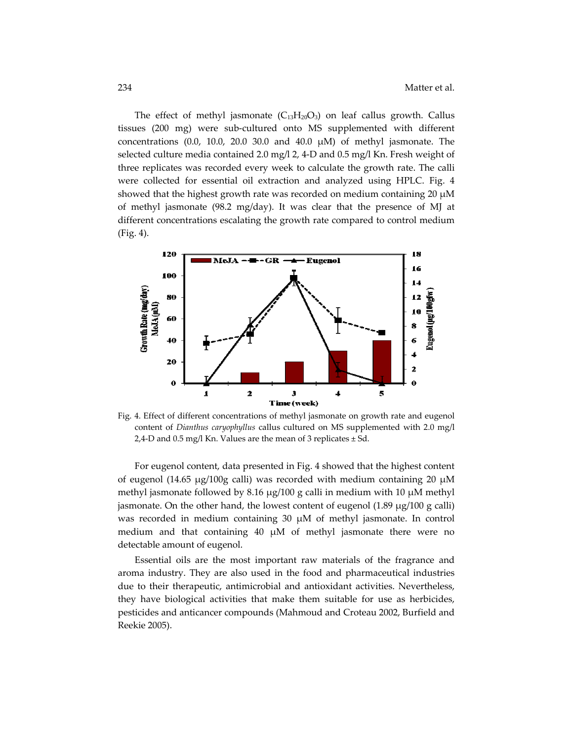The effect of methyl jasmonate  $(C_{13}H_{20}O_3)$  on leaf callus growth. Callus tissues (200 mg) were sub‐cultured onto MS supplemented with different concentrations (0.0, 10.0, 20.0 30.0 and 40.0 μM) of methyl jasmonate. The selected culture media contained 2.0 mg/l 2, 4-D and 0.5 mg/l Kn. Fresh weight of three replicates was recorded every week to calculate the growth rate. The calli were collected for essential oil extraction and analyzed using HPLC. Fig. 4 showed that the highest growth rate was recorded on medium containing 20  $\mu$ M of methyl jasmonate (98.2 mg/day). It was clear that the presence of MJ at different concentrations escalating the growth rate compared to control medium (Fig. 4).



Fig. 4. Effect of different concentrations of methyl jasmonate on growth rate and eugenol content of *Dianthus caryophyllus* callus cultured on MS supplemented with 2.0 mg/l 2,4-D and 0.5 mg/l Kn. Values are the mean of 3 replicates  $\pm$  Sd.

For eugenol content, data presented in Fig. 4 showed that the highest content of eugenol (14.65 μg/100g calli) was recorded with medium containing 20 μM methyl jasmonate followed by 8.16 μg/100 g calli in medium with 10 μM methyl jasmonate. On the other hand, the lowest content of eugenol (1.89 μg/100 g calli) was recorded in medium containing 30 μM of methyl jasmonate. In control medium and that containing 40  $\mu$ M of methyl jasmonate there were no detectable amount of eugenol.

Essential oils are the most important raw materials of the fragrance and aroma industry. They are also used in the food and pharmaceutical industries due to their therapeutic, antimicrobial and antioxidant activities. Nevertheless, they have biological activities that make them suitable for use as herbicides, pesticides and anticancer compounds (Mahmoud and Croteau 2002, Burfield and Reekie 2005).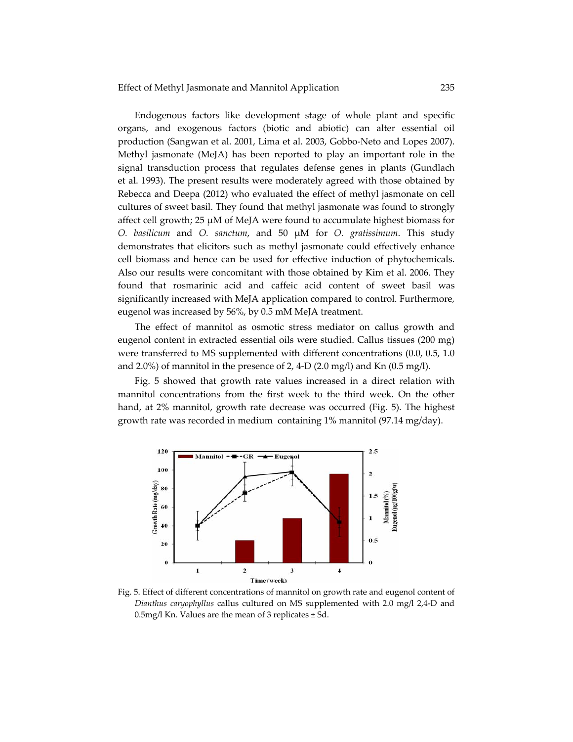Endogenous factors like development stage of whole plant and specific organs, and exogenous factors (biotic and abiotic) can alter essential oil production (Sangwan et al. 2001, Lima et al. 2003, Gobbo‐Neto and Lopes 2007). Methyl jasmonate (MeJA) has been reported to play an important role in the signal transduction process that regulates defense genes in plants (Gundlach et al. 1993). The present results were moderately agreed with those obtained by Rebecca and Deepa (2012) who evaluated the effect of methyl jasmonate on cell cultures of sweet basil. They found that methyl jasmonate was found to strongly affect cell growth; 25 μM of MeJA were found to accumulate highest biomass for *O. basilicum* and *O. sanctum*, and 50 μM for *O. gratissimum*. This study demonstrates that elicitors such as methyl jasmonate could effectively enhance cell biomass and hence can be used for effective induction of phytochemicals. Also our results were concomitant with those obtained by Kim et al. 2006. They found that rosmarinic acid and caffeic acid content of sweet basil was significantly increased with MeJA application compared to control. Furthermore, eugenol was increased by 56%, by 0.5 mM MeJA treatment.

The effect of mannitol as osmotic stress mediator on callus growth and eugenol content in extracted essential oils were studied. Callus tissues (200 mg) were transferred to MS supplemented with different concentrations (0.0, 0.5, 1.0 and 2.0%) of mannitol in the presence of 2, 4-D (2.0 mg/l) and Kn (0.5 mg/l).

Fig. 5 showed that growth rate values increased in a direct relation with mannitol concentrations from the first week to the third week. On the other hand, at 2% mannitol, growth rate decrease was occurred (Fig. 5). The highest growth rate was recorded in medium containing 1% mannitol (97.14 mg/day).



Fig. 5. Effect of different concentrations of mannitol on growth rate and eugenol content of *Dianthus caryophyllus* callus cultured on MS supplemented with 2.0 mg/l 2,4‐D and 0.5mg/l Kn. Values are the mean of 3 replicates  $\pm$  Sd.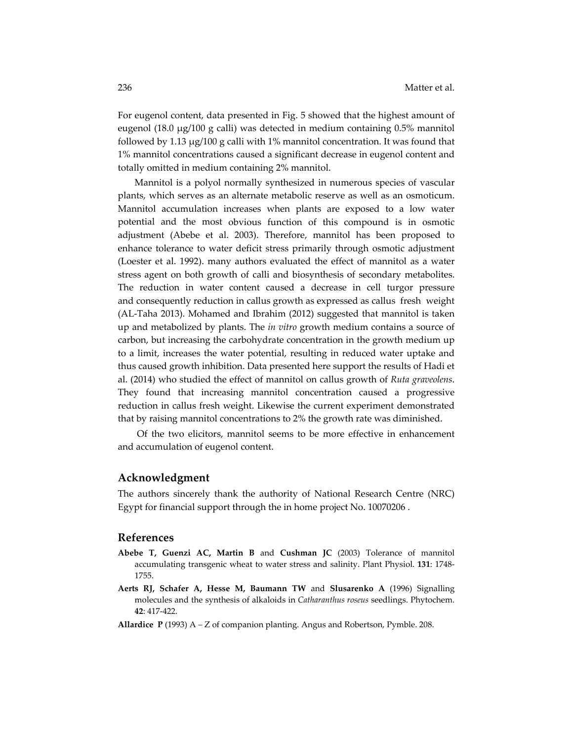For eugenol content, data presented in Fig. 5 showed that the highest amount of eugenol (18.0 μg/100 g calli) was detected in medium containing 0.5% mannitol followed by 1.13 μg/100 g calli with 1% mannitol concentration. It was found that 1% mannitol concentrations caused a significant decrease in eugenol content and totally omitted in medium containing 2% mannitol.

Mannitol is a polyol normally synthesized in numerous species of vascular plants, which serves as an alternate metabolic reserve as well as an osmoticum. Mannitol accumulation increases when plants are exposed to a low water potential and the most obvious function of this compound is in osmotic adjustment (Abebe et al. 2003). Therefore, mannitol has been proposed to enhance tolerance to water deficit stress primarily through osmotic adjustment (Loester et al. 1992). many authors evaluated the effect of mannitol as a water stress agent on both growth of calli and biosynthesis of secondary metabolites. The reduction in water content caused a decrease in cell turgor pressure and consequently reduction in callus growth as expressed as callus fresh weight (AL‐Taha 2013). Mohamed and Ibrahim (2012) suggested that mannitol is taken up and metabolized by plants. The *in vitro* growth medium contains a source of carbon, but increasing the carbohydrate concentration in the growth medium up to a limit, increases the water potential, resulting in reduced water uptake and thus caused growth inhibition. Data presented here support the results of Hadi et al. (2014) who studied the effect of mannitol on callus growth of *Ruta graveolens*. They found that increasing mannitol concentration caused a progressive reduction in callus fresh weight. Likewise the current experiment demonstrated that by raising mannitol concentrations to 2% the growth rate was diminished.

 Of the two elicitors, mannitol seems to be more effective in enhancement and accumulation of eugenol content.

#### **Acknowledgment**

The authors sincerely thank the authority of National Research Centre (NRC) Egypt for financial support through the in home project No. 10070206 .

#### **References**

- **Abebe T, Guenzi AC, Martin B** and **Cushman JC** (2003) Tolerance of mannitol accumulating transgenic wheat to water stress and salinity. Plant Physiol. **131**: 1748‐ 1755.
- **Aerts RJ, Schafer A, Hesse M, Baumann TW** and **Slusarenko A** (1996) Signalling molecules and the synthesis of alkaloids in *Catharanthus roseus* seedlings. Phytochem. **42**: 417‐422.
- **Allardice P** (1993) A *–* Z of companion planting. Angus and Robertson, Pymble. 208.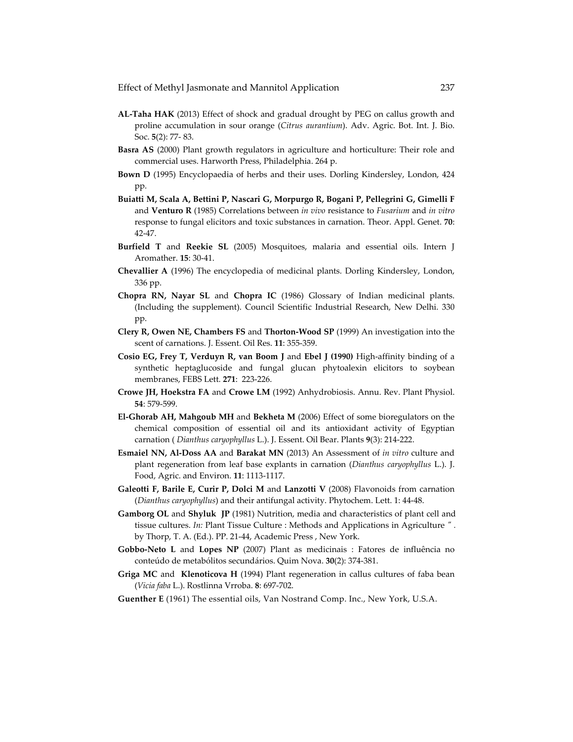Effect of Methyl Jasmonate and Mannitol Application 237

- **AL‐Taha HAK** (2013) Effect of shock and gradual drought by PEG on callus growth and proline accumulation in sour orange (*Citrus aurantium*). Adv. Agric. Bot. Int. J. Bio. Soc. **5**(2): 77‐ 83.
- **Basra AS** (2000) Plant growth regulators in agriculture and horticulture: Their role and commercial uses. Harworth Press, Philadelphia. 264 p.
- **Bown D** (1995) Encyclopaedia of herbs and their uses. Dorling Kindersley, London, 424 pp.
- **Buiatti M, Scala A, Bettini P, Nascari G, Morpurgo R, Bogani P, Pellegrini G, Gimelli F** and **Venturo R** (1985) Correlations between *in vivo* resistance to *Fusarium* and *in vitro* response to fungal elicitors and toxic substances in carnation. Theor. Appl. Genet. **70**: 42‐47.
- **Burfield T** and **Reekie SL** (2005) Mosquitoes, malaria and essential oils. Intern J Aromather. **15**: 30‐41.
- **Chevallier A** (1996) The encyclopedia of medicinal plants. Dorling Kindersley, London, 336 pp.
- **Chopra RN, Nayar SL** and **Chopra IC** (1986) Glossary of Indian medicinal plants. (Including the supplement). Council Scientific Industrial Research, New Delhi. 330 pp.
- **Clery R, Owen NE, Chambers FS** and **Thorton‐Wood SP** (1999) An investigation into the scent of carnations. J. Essent. Oil Res. **11**: 355‐359.
- **Cosio EG, Frey T, Verduyn R, van Boom J** and **Ebel J (1990)** High‐affinity binding of a synthetic heptaglucoside and fungal glucan phytoalexin elicitors to soybean membranes, FEBS Lett. **271**: 223‐226.
- **Crowe JH, Hoekstra FA** and **Crowe LM** (1992) Anhydrobiosis. Annu. Rev. Plant Physiol. **54**: 579‐599.
- **El‐Ghorab AH, Mahgoub MH** and **Bekheta M** (2006) Effect of some bioregulators on the chemical composition of essential oil and its antioxidant activity of Egyptian carnation ( *Dianthus caryophyllus* L.). J. Essent. Oil Bear. Plants **9**(3): 214‐222.
- **Esmaiel NN, Al‐Doss AA** and **Barakat MN** (2013) An Assessment of *in vitro* culture and plant regeneration from leaf base explants in carnation (*Dianthus caryophyllus* L.). J. Food, Agric. and Environ. **11**: 1113‐1117.
- **Galeotti F, Barile E, Curir P, Dolci M** and **Lanzotti V** (2008) Flavonoids from carnation (*Dianthus caryophyllus*) and their antifungal activity. Phytochem. Lett. 1: 44‐48.
- **Gamborg OL** and **Shyluk JP** (1981) Nutrition, media and characteristics of plant cell and tissue cultures. *In:* Plant Tissue Culture : Methods and Applications in Agriculture  $''$ . by Thorp, T. A. (Ed.). PP. 21‐44, Academic Press , New York.
- **Gobbo‐Neto L** and **Lopes NP** (2007) Plant as medicinais : Fatores de influência no conteúdo de metabólitos secundários. Quim Nova. **30**(2): 374‐381.
- **Griga MC** and **Klenoticova H** (1994) Plant regeneration in callus cultures of faba bean (*Vicia faba* L.). Rostlinna Vrroba. **8**: 697‐702.
- **Guenther E** (1961) The essential oils, Van Nostrand Comp. Inc., New York, U.S.A.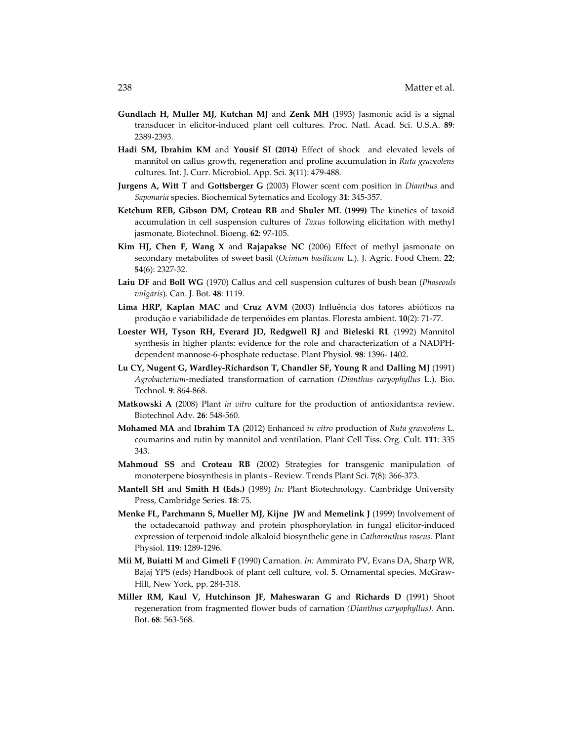- **Gundlach H, Muller MJ, Kutchan MJ** and **Zenk MH** (1993) Jasmonic acid is a signal transducer in elicitor‐induced plant cell cultures. Proc. Natl. Acad. Sci. U.S.A. **89**: 2389‐2393.
- **Hadi SM, Ibrahim KM** and **Yousif SI (2014)** Effect of shock and elevated levels of mannitol on callus growth, regeneration and proline accumulation in *Ruta graveolens* cultures. Int. J. Curr. Microbiol. App. Sci. **3**(11): 479‐488.
- **Jurgens A, Witt T** and **Gottsberger G** (2003) Flower scent com position in *Dianthus* and *Saponaria* species. Biochemical Sytematics and Ecology **31**: 345‐357.
- **Ketchum REB, Gibson DM, Croteau RB** and **Shuler ML (1999)** The kinetics of taxoid accumulation in cell suspension cultures of *Taxus* following elicitation with methyl jasmonate, Biotechnol. Bioeng. **62**: 97‐105.
- **Kim HJ, Chen F, Wang X** and **Rajapakse NC** (2006) Effect of methyl jasmonate on secondary metabolites of sweet basil (*Ocimum basilicum* L.). J. Agric. Food Chem. **22**; **54**(6): 2327‐32.
- **Laiu DF** and **Boll WG** (1970) Callus and cell suspension cultures of bush bean (*Phaseouls vulgaris*). Can. J. Bot. **48**: 1119.
- **Lima HRP, Kaplan MAC** and **Cruz AVM** (2003) Influência dos fatores abióticos na produção e variabilidade de terpenóides em plantas. Floresta ambient. **10**(2): 71‐77.
- **Loester WH, Tyson RH, Everard JD, Redgwell RJ** and **Bieleski RL** (1992) Mannitol synthesis in higher plants: evidence for the role and characterization of a NADPH‐ dependent mannose‐6‐phosphate reductase. Plant Physiol. **98**: 1396‐ 1402.
- **Lu CY, Nugent G, Wardley‐Richardson T, Chandler SF, Young R** and **Dalling MJ** (1991) *Agrobacterium*‐mediated transformation of carnation *(Dianthus caryophyllus* L.). Bio. Technol. **9**: 864‐868.
- **Matkowski A** (2008) Plant *in vitro* culture for the production of antioxidants:a review. Biotechnol Adv. **26**: 548‐560.
- **Mohamed MA** and **Ibrahim TA** (2012) Enhanced *in vitro* production of *Ruta graveolens* L. coumarins and rutin by mannitol and ventilation. Plant Cell Tiss. Org. Cult. **111**: 335 343.
- **Mahmoud SS** and **Croteau RB** (2002) Strategies for transgenic manipulation of monoterpene biosynthesis in plants ‐ Review. Trends Plant Sci. **7**(8): 366‐373.
- **Mantell SH** and **Smith H (Eds.)** (1989) *In:* Plant Biotechnology. Cambridge University Press, Cambridge Series*.* **18**: 75.
- **Menke FL, Parchmann S, Mueller MJ, Kijne JW** and **Memelink J** (1999) Involvement of the octadecanoid pathway and protein phosphorylation in fungal elicitor-induced expression of terpenoid indole alkaloid biosynthelic gene in *Catharanthus roseus*. Plant Physiol. **119**: 1289‐1296.
- **Mii M, Buiatti M** and **Gimeli F** (1990) Carnation. *In:* Ammirato PV, Evans DA, Sharp WR, Bajaj YPS (eds) Handbook of plant cell culture, vol. **5**. Ornamental species. McGraw‐ Hill, New York, pp. 284‐318.
- **Miller RM, Kaul V, Hutchinson JF, Maheswaran G** and **Richards D** (1991) Shoot regeneration from fragmented flower buds of carnation *(Dianthus caryophyllus).* Ann. Bot. **68**: 563‐568.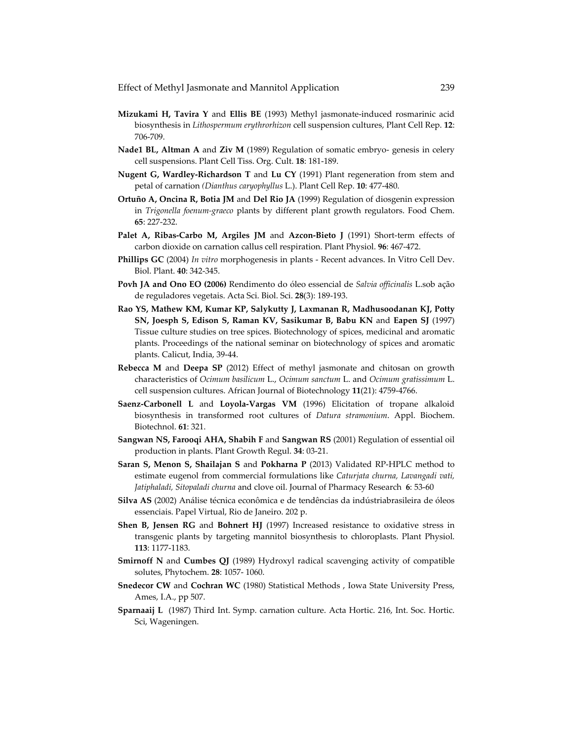Effect of Methyl Jasmonate and Mannitol Application 239

- **Mizukami H, Tavira Y** and **Ellis BE** (1993) Methyl jasmonate‐induced rosmarinic acid biosynthesis in *Lithospermum erythrorhizon* cell suspension cultures, Plant Cell Rep. **12**: 706‐709.
- **Nade1 BL, Altman A** and **Ziv M** (1989) Regulation of somatic embryo‐ genesis in celery cell suspensions. Plant Cell Tiss. Org. Cult. **18**: 181‐189.
- **Nugent G, Wardley‐Richardson T** and **Lu CY** (1991) Plant regeneration from stem and petal of carnation *(Dianthus caryophyllus* L.). Plant Cell Rep. **10**: 477‐480.
- **Ortuño A, Oncina R, Botia JM** and **Del Rio JA** (1999) Regulation of diosgenin expression in *Trigonella foenum‐graeco* plants by different plant growth regulators. Food Chem. **65**: 227‐232.
- **Palet A, Ribas‐Carbo M, Argiles JM** and **Azcon‐Bieto J** (1991) Short‐term effects of carbon dioxide on carnation callus cell respiration. Plant Physiol. **96**: 467‐472.
- **Phillips GC** (2004) *In vitro* morphogenesis in plants ‐ Recent advances. In Vitro Cell Dev. Biol. Plant. **40**: 342‐345.
- **Povh JA and Ono EO (2006)** Rendimento do óleo essencial de *Salvia officinalis* L.sob ação de reguladores vegetais. Acta Sci. Biol. Sci. **28**(3): 189‐193.
- **Rao YS, Mathew KM, Kumar KP, Salykutty J, Laxmanan R, Madhusoodanan KJ, Potty SN, Joesph S, Edison S, Raman KV, Sasikumar B, Babu KN** and **Eapen SJ** (1997) Tissue culture studies on tree spices. Biotechnology of spices, medicinal and aromatic plants. Proceedings of the national seminar on biotechnology of spices and aromatic plants. Calicut, India, 39‐44.
- **Rebecca M** and **Deepa SP** (2012) Effect of methyl jasmonate and chitosan on growth characteristics of *Ocimum basilicum* L., *Ocimum sanctum* L. and *Ocimum gratissimum* L. cell suspension cultures. African Journal of Biotechnology **11**(21): 4759‐4766.
- **Saenz‐Carbonell L** and **Loyola‐Vargas VM** (1996) Elicitation of tropane alkaloid biosynthesis in transformed root cultures of *Datura stramonium*. Appl. Biochem. Biotechnol. **61**: 321.
- **Sangwan NS, Farooqi AHA, Shabih F** and **Sangwan RS** (2001) Regulation of essential oil production in plants. Plant Growth Regul. **34**: 03‐21.
- **Saran S, Menon S, Shailajan S** and **Pokharna P** (2013) Validated RP‐HPLC method to estimate eugenol from commercial formulations like *Caturjata churna, Lavangadi vati, Jatiphaladi, Sitopaladi churna* and clove oil. Journal of Pharmacy Research **6**: 53‐60
- **Silva AS** (2002) Análise técnica econômica e de tendências da indústriabrasileira de óleos essenciais. Papel Virtual, Rio de Janeiro. 202 p.
- **Shen B, Jensen RG** and **Bohnert HJ** (1997) Increased resistance to oxidative stress in transgenic plants by targeting mannitol biosynthesis to chloroplasts. Plant Physiol. **113**: 1177‐1183.
- **Smirnoff N** and **Cumbes QJ** (1989) Hydroxyl radical scavenging activity of compatible solutes, Phytochem. **28**: 1057‐ 1060.
- **Snedecor CW** and **Cochran WC** (1980) Statistical Methods , Iowa State University Press, Ames, I.A., pp 507.
- **Sparnaaij L** (1987) Third Int. Symp. carnation culture. Acta Hortic. 216, Int. Soc. Hortic. Sci, Wageningen.